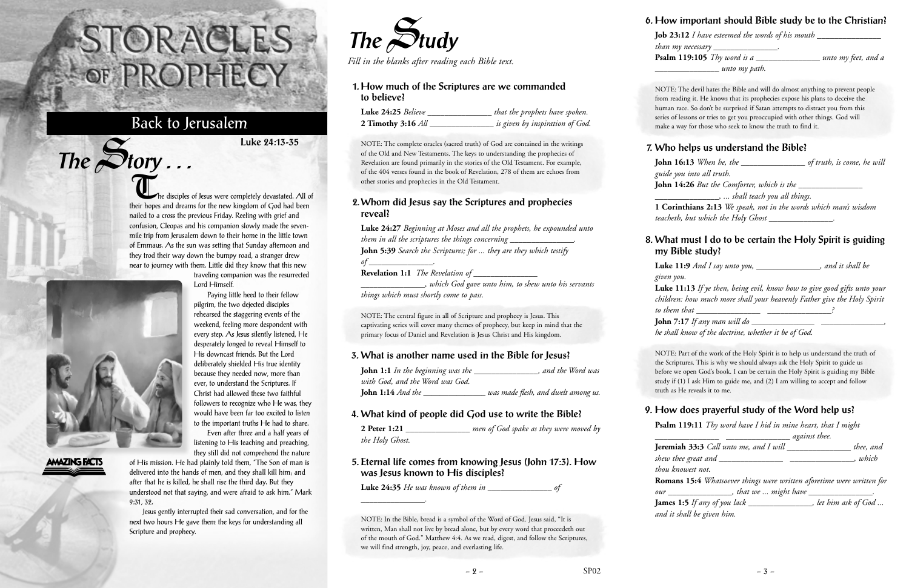The disciples of Jesus were completely devastated. All of their hopes and dreams for the new kingdom of God had been nailed to a cross the previous Friday. Reeling with grief and confusion, Cleopas and his companion slowly made the sevenmile trip from Jerusalem down to their home in the little town of Emmaus. As the sun was setting that Sunday afternoon and they trod their way down the bumpy road, a stranger drew near to journey with them. Little did they know that this new

traveling companion was the resurrected Lord Himself.

Paying little heed to their fellow pilgrim, the two dejected disciples rehearsed the staggering events of the weekend, feeling more despondent with every step. As Jesus silently listened, He desperately longed to reveal Himself to His downcast friends. But the Lord deliberately shielded His true identity because they needed now, more than ever, to understand the Scriptures. If Christ had allowed these two faithful followers to recognize who He was, they would have been far too excited to listen to the important truths He had to share.

Even after three and a half years of listening to His teaching and preaching, they still did not comprehend the nature

of His mission. He had plainly told them, "The Son of man is delivered into the hands of men, and they shall kill him; and after that he is killed, he shall rise the third day. But they understood not that saying, and were afraid to ask him." Mark 9:31, 32.

Jesus gently interrupted their sad conversation, and for the next two hours He gave them the keys for understanding all Scripture and prophecy.

# STORACLES -OF PROPHECY

## Back to Jerusalem

The Story ...

**AMAZING FACTS** 

**Luke 24:13-35**



*Fill in the blanks after reading each Bible text.*

### **1. How much of the Scriptures are we commanded to believe?**

| <b>Luke 24:25</b> Believe | that the prophets have spoken.  |
|---------------------------|---------------------------------|
| 2 Timothy 3:16 All        | is given by inspiration of God. |

NOTE: The complete oracles (sacred truth) of God are contained in the writings of the Old and New Testaments. The keys to understanding the prophecies of Revelation are found primarily in the stories of the Old Testament. For example, of the 404 verses found in the book of Revelation, 278 of them are echoes from other stories and prophecies in the Old Testament.

#### **2. Whom did Jesus say the Scriptures and prophecies reveal?**

#### **Luke 24:27** *Beginning at Moses and all the prophets, he expounded unto them in all the scriptures the things concerning \_\_\_\_\_\_\_\_\_\_\_\_\_\_\_\_*. **John 5:39** *Search the Scriptures; for ... they are they which testify of* \_\_\_\_\_\_\_\_\_\_\_\_\_\_\_\_\_\_\_. **Revelation 1:1** *The Revelation of \_\_\_\_\_\_\_\_\_\_\_\_\_\_\_*

*\_\_\_\_\_\_\_\_\_\_\_\_\_\_\_, which God gave unto him, to shew unto his servants things which must shortly come to pass.*

NOTE: The central figure in all of Scripture and prophecy is Jesus. This captivating series will cover many themes of prophecy, but keep in mind that the primary focus of Daniel and Revelation is Jesus Christ and His kingdom.

## **3. What is another name used in the Bible for Jesus?**

| <b>John 1:1</b> In the beginning was the | , and the Word was                  |
|------------------------------------------|-------------------------------------|
| with God, and the Word was God.          |                                     |
| <b>John 1:14</b> And the                 | was made flesh, and dwelt among us. |

## **4. What kind of people did God use to write the Bible?**

**2 Peter 1:21** *\_\_\_\_\_\_\_\_\_\_\_\_\_\_\_ men of God spake as they were moved by the Holy Ghost.*

### **5. Eternal life comes from knowing Jesus (John 17:3). How was Jesus known to His disciples?**

**Luke 24:35** *He was known of them in \_\_\_\_\_\_\_\_\_\_\_\_\_\_\_ of*

*\_\_\_\_\_\_\_\_\_\_\_\_\_\_\_.*

NOTE: In the Bible, bread is a symbol of the Word of God. Jesus said, "It is written, Man shall not live by bread alone, but by every word that proceedeth out of the mouth of God." Matthew 4:4. As we read, digest, and follow the Scriptures, we will find strength, joy, peace, and everlasting life.

#### **6. How important should Bible study be to the Christian?**

**Job 23:12** *I have esteemed the words of his mouth \_\_\_\_\_\_\_\_\_\_\_\_\_\_\_ than my necessary \_\_\_\_\_\_\_\_\_\_\_\_\_\_\_.*

**Psalm 119:105** *Thy word is a \_\_\_\_\_\_\_\_\_\_\_\_\_\_\_ unto my feet, and a \_\_\_\_\_\_\_\_\_\_\_\_\_\_\_ unto my path.*

NOTE: The devil hates the Bible and will do almost anything to prevent people from reading it. He knows that its prophecies expose his plans to deceive the human race. So don't be surprised if Satan attempts to distract you from this series of lessons or tries to get you preoccupied with other things. God will make a way for those who seek to know the truth to find it.

#### **7. Who helps us understand the Bible?**

**John 16:13** *When he, the \_\_\_\_\_\_\_\_\_\_\_\_\_\_\_ of truth, is come, he will guide you into all truth.* **John 14:26** *But the Comforter, which is the \_\_\_\_\_\_\_\_\_\_\_\_\_\_\_*

*\_\_\_\_\_\_\_\_\_\_\_\_\_\_\_, ... shall teach you all things.*

**1 Corinthians 2:13** *We speak, not in the words which man's wisdom teacheth, but which the Holy Ghost \_\_\_\_\_\_\_\_\_\_\_\_\_\_\_.*

#### **8. What must I do to be certain the Holy Spirit is guiding my Bible study?**

**Luke 11:9** *And I say unto you, \_\_\_\_\_\_\_\_\_\_\_\_\_\_\_, and it shall be given you.*

**Luke 11:13** *If ye then, being evil, know how to give good gifts unto your children: how much more shall your heavenly Father give the Holy Spirit to them that \_\_\_\_\_\_\_\_\_\_\_\_\_\_\_ \_\_\_\_\_\_\_\_\_\_\_\_\_\_\_?*

**John 7:17** *If any man will do \_\_\_\_\_\_\_\_\_\_\_\_\_\_\_ \_\_\_\_\_\_\_\_\_\_\_\_\_\_\_,*

*he shall know of the doctrine, whether it be of God.*

NOTE: Part of the work of the Holy Spirit is to help us understand the truth of the Scriptures. This is why we should always ask the Holy Spirit to guide us before we open God's book. I can be certain the Holy Spirit is guiding my Bible study if (1) I ask Him to guide me, and (2) I am willing to accept and follow truth as He reveals it to me.

## **9. How does prayerful study of the Word help us?**

**Psalm 119:11** *Thy word have I hid in mine heart, that I might*

*\_\_\_\_\_\_\_\_\_\_\_\_\_\_\_ \_\_\_\_\_\_\_\_\_\_\_\_\_\_\_ against thee.* **Jeremiah 33:3** *Call unto me, and I will \_\_\_\_\_\_\_\_\_\_\_\_\_\_\_ thee, and shew thee great and \_\_\_\_\_\_\_\_\_\_\_\_\_\_\_ \_\_\_\_\_\_\_\_\_\_\_\_\_\_\_, which thou knowest not.* **Romans 15:4** *Whatsoever things were written aforetime were written for our \_\_\_\_\_\_\_\_\_\_\_\_\_\_\_, that we ... might have \_\_\_\_\_\_\_\_\_\_\_\_\_\_\_.* **James 1:5** *If any of you lack \_\_\_\_\_\_\_\_\_\_\_\_\_\_\_, let him ask of God ... and it shall be given him.*